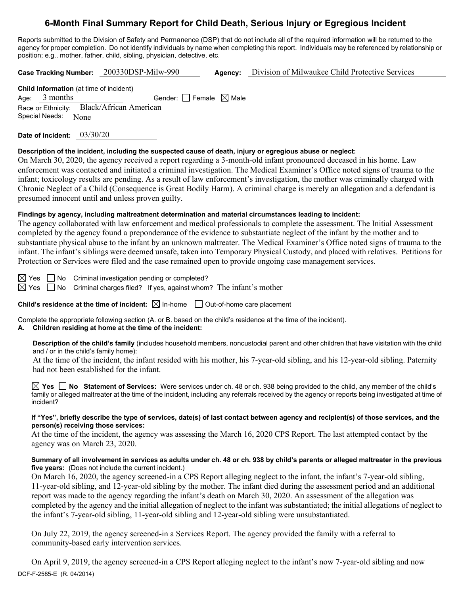# **6-Month Final Summary Report for Child Death, Serious Injury or Egregious Incident**

Reports submitted to the Division of Safety and Permanence (DSP) that do not include all of the required information will be returned to the agency for proper completion. Do not identify individuals by name when completing this report. Individuals may be referenced by relationship or position; e.g., mother, father, child, sibling, physician, detective, etc.

**Case Tracking Number:** 200330DSP-Milw-990 **Agency:** Division of Milwaukee Child Protective Services

**Child Information** (at time of incident) Age:  $3$  months Gender: Female  $\boxtimes$  Male Race or Ethnicity: Black/African American Special Needs: None

**Date of Incident:** 03/30/20

## **Description of the incident, including the suspected cause of death, injury or egregious abuse or neglect:**

On March 30, 2020, the agency received a report regarding a 3-month-old infant pronounced deceased in his home. Law enforcement was contacted and initiated a criminal investigation. The Medical Examiner's Office noted signs of trauma to the infant; toxicology results are pending. As a result of law enforcement's investigation, the mother was criminally charged with Chronic Neglect of a Child (Consequence is Great Bodily Harm). A criminal charge is merely an allegation and a defendant is presumed innocent until and unless proven guilty.

# **Findings by agency, including maltreatment determination and material circumstances leading to incident:**

The agency collaborated with law enforcement and medical professionals to complete the assessment. The Initial Assessment completed by the agency found a preponderance of the evidence to substantiate neglect of the infant by the mother and to substantiate physical abuse to the infant by an unknown maltreater. The Medical Examiner's Office noted signs of trauma to the infant. The infant's siblings were deemed unsafe, taken into Temporary Physical Custody, and placed with relatives. Petitions for Protection or Services were filed and the case remained open to provide ongoing case management services.

 $\boxtimes$  Yes  $\Box$  No Criminal investigation pending or completed?

 $\boxtimes$  Yes  $\Box$  No Criminal charges filed? If yes, against whom? The infant's mother

**Child's residence at the time of incident:**  $\boxtimes$  In-home  $\Box$  Out-of-home care placement

Complete the appropriate following section (A. or B. based on the child's residence at the time of the incident).

# **A. Children residing at home at the time of the incident:**

**Description of the child's family** (includes household members, noncustodial parent and other children that have visitation with the child and / or in the child's family home):

At the time of the incident, the infant resided with his mother, his 7-year-old sibling, and his 12-year-old sibling. Paternity had not been established for the infant.

**Yes No Statement of Services:** Were services under ch. 48 or ch. 938 being provided to the child, any member of the child's family or alleged maltreater at the time of the incident, including any referrals received by the agency or reports being investigated at time of incident?

#### **If "Yes", briefly describe the type of services, date(s) of last contact between agency and recipient(s) of those services, and the person(s) receiving those services:**

At the time of the incident, the agency was assessing the March 16, 2020 CPS Report. The last attempted contact by the agency was on March 23, 2020.

#### **Summary of all involvement in services as adults under ch. 48 or ch. 938 by child's parents or alleged maltreater in the previous five years:** (Does not include the current incident.)

On March 16, 2020, the agency screened-in a CPS Report alleging neglect to the infant, the infant's 7-year-old sibling, 11-year-old sibling, and 12-year-old sibling by the mother. The infant died during the assessment period and an additional report was made to the agency regarding the infant's death on March 30, 2020. An assessment of the allegation was completed by the agency and the initial allegation of neglect to the infant was substantiated; the initial allegations of neglect to the infant's 7-year-old sibling, 11-year-old sibling and 12-year-old sibling were unsubstantiated.

On July 22, 2019, the agency screened-in a Services Report. The agency provided the family with a referral to community-based early intervention services.

DCF-F-2585-E (R. 04/2014) On April 9, 2019, the agency screened-in a CPS Report alleging neglect to the infant's now 7-year-old sibling and now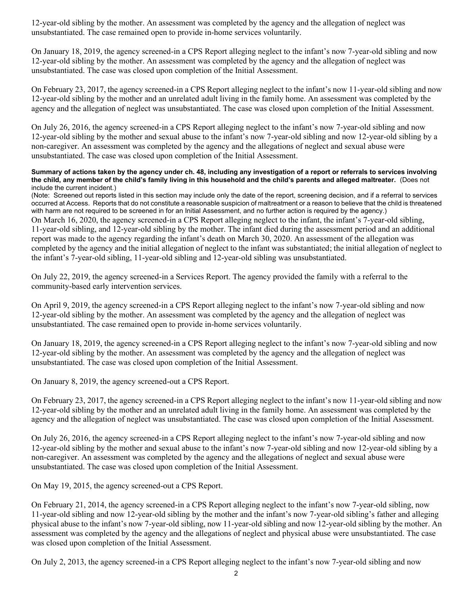12-year-old sibling by the mother. An assessment was completed by the agency and the allegation of neglect was unsubstantiated. The case remained open to provide in-home services voluntarily.

On January 18, 2019, the agency screened-in a CPS Report alleging neglect to the infant's now 7-year-old sibling and now 12-year-old sibling by the mother. An assessment was completed by the agency and the allegation of neglect was unsubstantiated. The case was closed upon completion of the Initial Assessment.

On February 23, 2017, the agency screened-in a CPS Report alleging neglect to the infant's now 11-year-old sibling and now 12-year-old sibling by the mother and an unrelated adult living in the family home. An assessment was completed by the agency and the allegation of neglect was unsubstantiated. The case was closed upon completion of the Initial Assessment.

On July 26, 2016, the agency screened-in a CPS Report alleging neglect to the infant's now 7-year-old sibling and now 12-year-old sibling by the mother and sexual abuse to the infant's now 7-year-old sibling and now 12-year-old sibling by a non-caregiver. An assessment was completed by the agency and the allegations of neglect and sexual abuse were unsubstantiated. The case was closed upon completion of the Initial Assessment.

**Summary of actions taken by the agency under ch. 48, including any investigation of a report or referrals to services involving the child, any member of the child's family living in this household and the child's parents and alleged maltreater.** (Does not include the current incident.)

(Note: Screened out reports listed in this section may include only the date of the report, screening decision, and if a referral to services occurred at Access. Reports that do not constitute a reasonable suspicion of maltreatment or a reason to believe that the child is threatened with harm are not required to be screened in for an Initial Assessment, and no further action is required by the agency.) On March 16, 2020, the agency screened-in a CPS Report alleging neglect to the infant, the infant's 7-year-old sibling, 11-year-old sibling, and 12-year-old sibling by the mother. The infant died during the assessment period and an additional report was made to the agency regarding the infant's death on March 30, 2020. An assessment of the allegation was completed by the agency and the initial allegation of neglect to the infant was substantiated; the initial allegation of neglect to the infant's 7-year-old sibling, 11-year-old sibling and 12-year-old sibling was unsubstantiated.

On July 22, 2019, the agency screened-in a Services Report. The agency provided the family with a referral to the community-based early intervention services.

On April 9, 2019, the agency screened-in a CPS Report alleging neglect to the infant's now 7-year-old sibling and now 12-year-old sibling by the mother. An assessment was completed by the agency and the allegation of neglect was unsubstantiated. The case remained open to provide in-home services voluntarily.

On January 18, 2019, the agency screened-in a CPS Report alleging neglect to the infant's now 7-year-old sibling and now 12-year-old sibling by the mother. An assessment was completed by the agency and the allegation of neglect was unsubstantiated. The case was closed upon completion of the Initial Assessment.

On January 8, 2019, the agency screened-out a CPS Report.

On February 23, 2017, the agency screened-in a CPS Report alleging neglect to the infant's now 11-year-old sibling and now 12-year-old sibling by the mother and an unrelated adult living in the family home. An assessment was completed by the agency and the allegation of neglect was unsubstantiated. The case was closed upon completion of the Initial Assessment.

On July 26, 2016, the agency screened-in a CPS Report alleging neglect to the infant's now 7-year-old sibling and now 12-year-old sibling by the mother and sexual abuse to the infant's now 7-year-old sibling and now 12-year-old sibling by a non-caregiver. An assessment was completed by the agency and the allegations of neglect and sexual abuse were unsubstantiated. The case was closed upon completion of the Initial Assessment.

On May 19, 2015, the agency screened-out a CPS Report.

On February 21, 2014, the agency screened-in a CPS Report alleging neglect to the infant's now 7-year-old sibling, now 11-year-old sibling and now 12-year-old sibling by the mother and the infant's now 7-year-old sibling's father and alleging physical abuse to the infant's now 7-year-old sibling, now 11-year-old sibling and now 12-year-old sibling by the mother. An assessment was completed by the agency and the allegations of neglect and physical abuse were unsubstantiated. The case was closed upon completion of the Initial Assessment.

On July 2, 2013, the agency screened-in a CPS Report alleging neglect to the infant's now 7-year-old sibling and now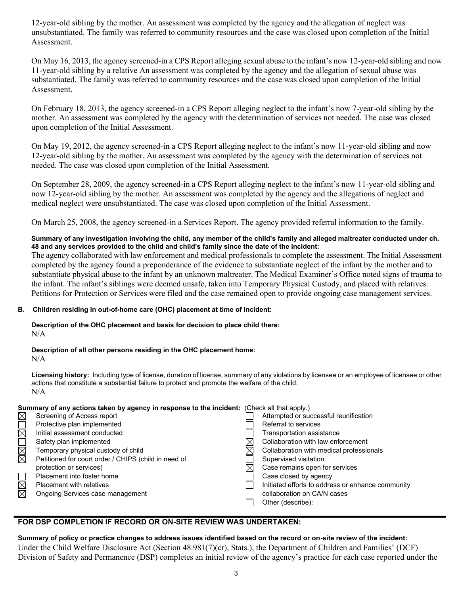12-year-old sibling by the mother. An assessment was completed by the agency and the allegation of neglect was unsubstantiated. The family was referred to community resources and the case was closed upon completion of the Initial Assessment.

On May 16, 2013, the agency screened-in a CPS Report alleging sexual abuse to the infant's now 12-year-old sibling and now 11-year-old sibling by a relative An assessment was completed by the agency and the allegation of sexual abuse was substantiated. The family was referred to community resources and the case was closed upon completion of the Initial Assessment.

On February 18, 2013, the agency screened-in a CPS Report alleging neglect to the infant's now 7-year-old sibling by the mother. An assessment was completed by the agency with the determination of services not needed. The case was closed upon completion of the Initial Assessment.

On May 19, 2012, the agency screened-in a CPS Report alleging neglect to the infant's now 11-year-old sibling and now 12-year-old sibling by the mother. An assessment was completed by the agency with the determination of services not needed. The case was closed upon completion of the Initial Assessment.

On September 28, 2009, the agency screened-in a CPS Report alleging neglect to the infant's now 11-year-old sibling and now 12-year-old sibling by the mother. An assessment was completed by the agency and the allegations of neglect and medical neglect were unsubstantiated. The case was closed upon completion of the Initial Assessment.

On March 25, 2008, the agency screened-in a Services Report. The agency provided referral information to the family.

# **Summary of any investigation involving the child, any member of the child's family and alleged maltreater conducted under ch. 48 and any services provided to the child and child's family since the date of the incident:**

The agency collaborated with law enforcement and medical professionals to complete the assessment. The Initial Assessment completed by the agency found a preponderance of the evidence to substantiate neglect of the infant by the mother and to substantiate physical abuse to the infant by an unknown maltreater. The Medical Examiner's Office noted signs of trauma to the infant. The infant's siblings were deemed unsafe, taken into Temporary Physical Custody, and placed with relatives. Petitions for Protection or Services were filed and the case remained open to provide ongoing case management services.

## **B. Children residing in out-of-home care (OHC) placement at time of incident:**

**Description of the OHC placement and basis for decision to place child there:**  $N/A$ 

# **Description of all other persons residing in the OHC placement home:**

 $N/A$ 

**Licensing history:** Including type of license, duration of license, summary of any violations by licensee or an employee of licensee or other actions that constitute a substantial failure to protect and promote the welfare of the child. N/A

| Summary of any actions taken by agency in response to the incident: (Check all that apply.) |                                                      |          |                                                   |  |
|---------------------------------------------------------------------------------------------|------------------------------------------------------|----------|---------------------------------------------------|--|
| $\boxtimes$                                                                                 | Screening of Access report                           |          | Attempted or successful reunification             |  |
|                                                                                             | Protective plan implemented                          |          | Referral to services                              |  |
|                                                                                             | Initial assessment conducted                         |          | Transportation assistance                         |  |
| NNOMI                                                                                       | Safety plan implemented                              |          | Collaboration with law enforcement                |  |
|                                                                                             | Temporary physical custody of child                  | $\times$ | Collaboration with medical professionals          |  |
|                                                                                             | Petitioned for court order / CHIPS (child in need of |          | Supervised visitation                             |  |
|                                                                                             | protection or services)                              | $\times$ | Case remains open for services                    |  |
|                                                                                             | Placement into foster home                           |          | Case closed by agency                             |  |
| N<br>M                                                                                      | <b>Placement with relatives</b>                      |          | Initiated efforts to address or enhance community |  |
|                                                                                             | Ongoing Services case management                     |          | collaboration on CA/N cases                       |  |
|                                                                                             |                                                      |          | Other (describe):                                 |  |

# **FOR DSP COMPLETION IF RECORD OR ON-SITE REVIEW WAS UNDERTAKEN:**

**Summary of policy or practice changes to address issues identified based on the record or on-site review of the incident:** Under the Child Welfare Disclosure Act (Section 48.981(7)(cr), Stats.), the Department of Children and Families' (DCF) Division of Safety and Permanence (DSP) completes an initial review of the agency's practice for each case reported under the